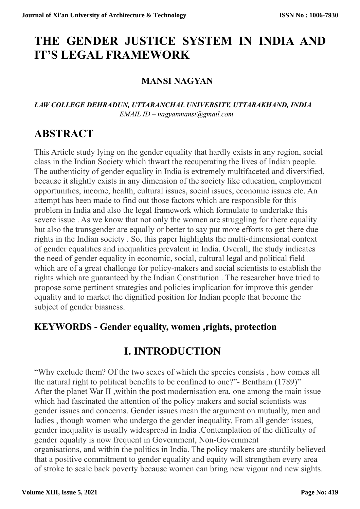# **THE GENDER JUSTICE SYSTEM IN INDIA AND IT'S LEGAL FRAMEWORK**

### **MANSI NAGYAN**

#### *LAW COLLEGE DEHRADUN, UTTARANCHAL UNIVERSITY, UTTARAKHAND, INDIA EMAIL ID – nagyanmansi@gmail.com*

## **ABSTRACT**

This Article study lying on the gender equality that hardly exists in any region, social class in the Indian Society which thwart the recuperating the lives of Indian people. The authenticity of gender equality in India is extremely multifaceted and diversified, because it slightly exists in any dimension of the society like education, employment opportunities, income, health, cultural issues, social issues, economic issues etc. An attempt has been made to find out those factors which are responsible for this problem in India and also the legal framework which formulate to undertake this severe issue . As we know that not only the women are struggling for there equality but also the transgender are equally or better to say put more efforts to get there due rights in the Indian society . So, this paper highlights the multi-dimensional context of gender equalities and inequalities prevalent in India. Overall, the study indicates the need of gender equality in economic, social, cultural legal and political field which are of a great challenge for policy-makers and social scientists to establish the rights which are guaranteed by the Indian Constitution . The researcher have tried to propose some pertinent strategies and policies implication for improve this gender equality and to market the dignified position for Indian people that become the subject of gender biasness.

### **KEYWORDS - Gender equality, women ,rights, protection**

### **I. INTRODUCTION**

"Why exclude them? Of the two sexes of which the species consists , how comes all the natural right to political benefits to be confined to one?"- Bentham (1789)" After the planet War II ,within the post modernisation era, one among the main issue which had fascinated the attention of the policy makers and social scientists was gender issues and concerns. Gender issues mean the argument on mutually, men and ladies , though women who undergo the gender inequality. From all gender issues, gender inequality is usually widespread in India .Contemplation of the difficulty of gender equality is now frequent in Government, Non-Government organisations, and within the politics in India. The policy makers are sturdily believed that a positive commitment to gender equality and equity will strengthen every area of stroke to scale back poverty because women can bring new vigour and new sights.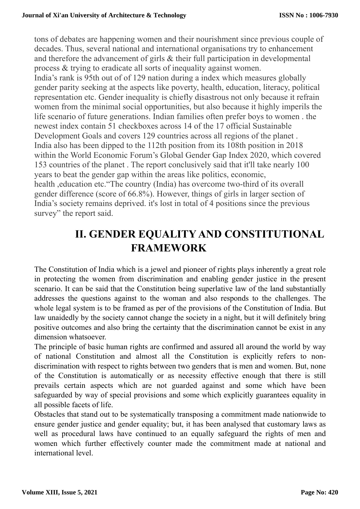tons of debates are happening women and their nourishment since previous couple of decades. Thus, several national and international organisations try to enhancement and therefore the advancement of girls & their full participation in developmental process & trying to eradicate all sorts of inequality against women.

India's rank is 95th out of of 129 nation during a index which measures globally gender parity seeking at the aspects like poverty, health, education, literacy, political representation etc. Gender inequality is chiefly disastrous not only because it refrain women from the minimal social opportunities, but also because it highly imperils the life scenario of future generations. Indian families often prefer boys to women . the newest index contain 51 checkboxes across 14 of the 17 official Sustainable Development Goals and covers 129 countries across all regions of the planet . India also has been dipped to the 112th position from its 108th position in 2018 within the World Economic Forum's Global Gender Gap Index 2020, which covered 153 countries of the planet . The report conclusively said that it'll take nearly 100 years to beat the gender gap within the areas like politics, economic, health ,education etc."The country (India) has overcome two-third of its overall gender difference (score of 66.8%). However, things of girls in larger section of India's society remains deprived. it's lost in total of 4 positions since the previous

survey" the report said.

# **II. GENDER EQUALITY AND CONSTITUTIONAL FRAMEWORK**

The Constitution of India which is a jewel and pioneer of rights plays inherently a great role in protecting the women from discrimination and enabling gender justice in the present scenario. It can be said that the Constitution being superlative law of the land substantially addresses the questions against to the woman and also responds to the challenges. The whole legal system is to be framed as per of the provisions of the Constitution of India. But law unaidedly by the society cannot change the society in a night, but it will definitely bring positive outcomes and also bring the certainty that the discrimination cannot be exist in any dimension whatsoever.

The principle of basic human rights are confirmed and assured all around the world by way of national Constitution and almost all the Constitution is explicitly refers to nondiscrimination with respect to rights between two genders that is men and women. But, none of the Constitution is automatically or as necessity effective enough that there is still prevails certain aspects which are not guarded against and some which have been safeguarded by way of special provisions and some which explicitly guarantees equality in all possible facets of life.

Obstacles that stand out to be systematically transposing a commitment made nationwide to ensure gender justice and gender equality; but, it has been analysed that customary laws as well as procedural laws have continued to an equally safeguard the rights of men and women which further effectively counter made the commitment made at national and international level.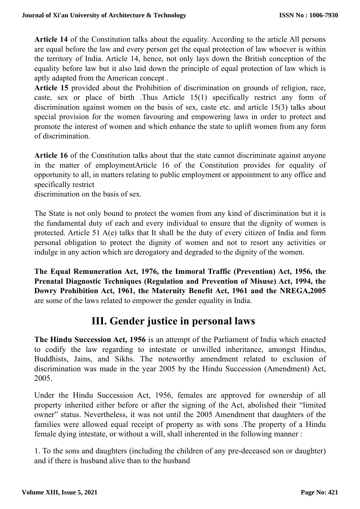**Article 14** of the Constitution talks about the equality. According to the article All persons are equal before the law and every person get the equal protection of law whoever is within the territory of India. Article 14, hence, not only lays down the British conception of the equality before law but it also laid down the principle of equal protection of law which is aptly adapted from the American concept .

**Article 15** provided about the Prohibition of discrimination on grounds of religion, race, caste, sex or place of birth .Thus Article 15(1) specifically restrict any form of discrimination against women on the basis of sex, caste etc. and article 15(3) talks about special provision for the women favouring and empowering laws in order to protect and promote the interest of women and which enhance the state to uplift women from any form of discrimination.

Article 16 of the Constitution talks about that the state cannot discriminate against anyone in the matter of employmentArticle 16 of the Constitution provides for equality of opportunity to all, in matters relating to public employment or appointment to any office and specifically restrict

discrimination on the basis of sex.

The State is not only bound to protect the women from any kind of discrimination but it is the fundamental duty of each and every individual to ensure that the dignity of women is protected. Article 51 A(e) talks that It shall be the duty of every citizen of India and form personal obligation to protect the dignity of women and not to resort any activities or indulge in any action which are derogatory and degraded to the dignity of the women.

**The Equal Remuneration Act, 1976, the Immoral Traffic (Prevention) Act, 1956, the Prenatal Diagnostic Techniques (Regulation and Prevention of Misuse) Act, 1994, the Dowry Prohibition Act, 1961, the Maternity Benefit Act, 1961 and the NREGA,2005** are some of the laws related to empower the gender equality in India.

### **III. Gender justice in personal laws**

**The Hindu Succession Act, 1956** is an attempt of the Parliament of India which enacted to codify the law regarding to intestate or unwilled inheritance, amongst Hindus, Buddhists, Jains, and Sikhs. The noteworthy amendment related to exclusion of discrimination was made in the year 2005 by the Hindu Succession (Amendment) Act, 2005.

Under the Hindu Succession Act, 1956, females are approved for ownership of all property inherited either before or after the signing of the Act, abolished their "limited owner" status. Nevertheless, it was not until the 2005 Amendment that daughters of the families were allowed equal receipt of property as with sons .The property of a Hindu female dying intestate, or without a will, shall inherented in the following manner :

1. To the sons and daughters (including the children of any pre-deceased son or daughter) and if there is husband alive than to the husband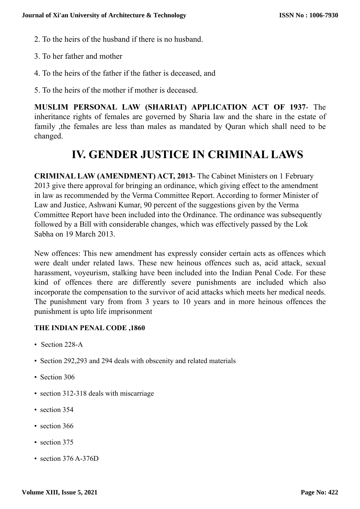- 2. To the heirs of the husband if there is no husband.
- 3. To her father and mother
- 4. To the heirs of the father if the father is deceased, and
- 5. To the heirs of the mother if mother is deceased.

**MUSLIM PERSONAL LAW (SHARIAT) APPLICATION ACT OF 1937**- The inheritance rights of females are governed by Sharia law and the share in the estate of family ,the females are less than males as mandated by Quran which shall need to be changed.

### **IV. GENDER JUSTICE IN CRIMINAL LAWS**

**CRIMINAL LAW (AMENDMENT) ACT, 2013**- The Cabinet Ministers on 1 February 2013 give there approval for bringing an ordinance, which giving effect to the amendment in law as recommended by the Verma Committee Report. According to former Minister of Law and Justice, Ashwani Kumar, 90 percent of the suggestions given by the Verma Committee Report have been included into the Ordinance. The ordinance was subsequently followed by a Bill with considerable changes, which was effectively passed by the Lok Sabha on 19 March 2013.

New offences: This new amendment has expressly consider certain acts as offences which were dealt under related laws. These new heinous offences such as, acid attack, sexual harassment, voyeurism, stalking have been included into the Indian Penal Code. For these kind of offences there are differently severe punishments are included which also incorporate the compensation to the survivor of acid attacks which meets her medical needs. The punishment vary from from 3 years to 10 years and in more heinous offences the punishment is upto life imprisonment

#### **THE INDIAN PENAL CODE ,1860**

- Section 228-A
- Section 292,293 and 294 deals with obscenity and related materials
- Section 306
- section 312-318 deals with miscarriage
- section 354
- section 366
- section 375
- section 376 A-376D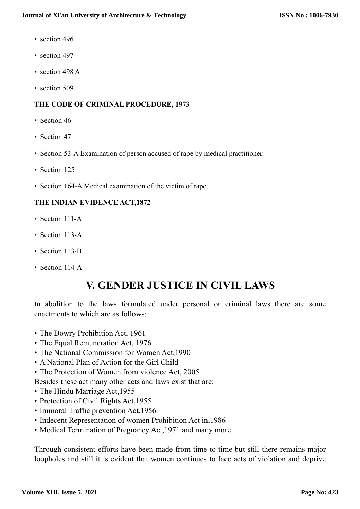- section 496
- section 497
- section 498 A
- section 509

#### **THE CODE OF CRIMINAL PROCEDURE, 1973**

- Section 46
- Section 47
- Section 53-A Examination of person accused of rape by medical practitioner.
- Section 125
- Section 164-A Medical examination of the victim of rape.

#### **THE INDIAN EVIDENCE ACT,1872**

- Section 111-A
- Section 113-A
- Section 113-B
- Section 114-A

## **V. GENDER JUSTICE IN CIVIL LAWS**

In abolition to the laws formulated under personal or criminal laws there are some enactments to which are as follows:

- The Dowry Prohibition Act, 1961
- The Equal Remuneration Act, 1976
- The National Commission for Women Act,1990
- A National Plan of Action for the Girl Child
- The Protection of Women from violence Act, 2005
- Besides these act many other acts and laws exist that are:
- The Hindu Marriage Act, 1955
- Protection of Civil Rights Act, 1955
- Immoral Traffic prevention Act, 1956
- Indecent Representation of women Prohibition Act in,1986
- Medical Termination of Pregnancy Act, 1971 and many more

Through consistent efforts have been made from time to time but still there remains major loopholes and still it is evident that women continues to face acts of violation and deprive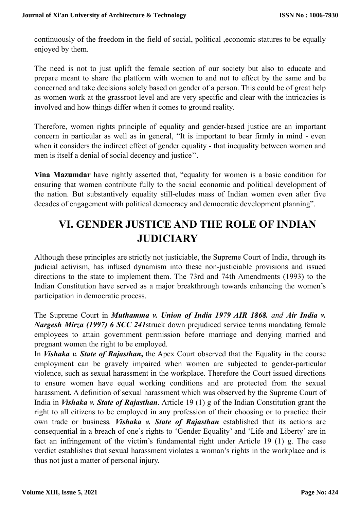continuously of the freedom in the field of social, political ,economic statures to be equally enjoyed by them.

The need is not to just uplift the female section of our society but also to educate and prepare meant to share the platform with women to and not to effect by the same and be concerned and take decisions solely based on gender of a person. This could be of great help as women work at the grassroot level and are very specific and clear with the intricacies is involved and how things differ when it comes to ground reality.

Therefore, women rights principle of equality and gender-based justice are an important concern in particular as well as in general, "It is important to bear firmly in mind - even when it considers the indirect effect of gender equality - that inequality between women and men is itself a denial of social decency and justice''.

**Vina Mazumdar** have rightly asserted that, "equality for women is a basic condition for ensuring that women contribute fully to the social economic and political development of the nation. But substantively equality still-eludes mass of Indian women even after five decades of engagement with political democracy and democratic development planning".

## **VI. GENDER JUSTICE AND THE ROLE OF INDIAN JUDICIARY**

Although these principles are strictly not justiciable, the Supreme Court of India, through its judicial activism, has infused dynamism into these non-justiciable provisions and issued directions to the state to implement them. The 73rd and 74th Amendments (1993) to the Indian Constitution have served as a major breakthrough towards enhancing the women's participation in democratic process.

The Supreme Court in *Muthamma v. Union of India 1979 AIR 1868. and Air India v. Nargesh Mirza (1997) 6 SCC 241*struck down prejudiced service terms mandating female employees to attain government permission before marriage and denying married and pregnant women the right to be employed.

In *Vishaka v. State of Rajasthan***,** the Apex Court observed that the Equality in the course employment can be gravely impaired when women are subjected to gender-particular violence, such as sexual harassment in the workplace. Therefore the Court issued directions to ensure women have equal working conditions and are protected from the sexual harassment. A definition of sexual harassment which was observed by the Supreme Court of India in *Vishaka v. State of Rajasthan*. Article 19 (1) g of the Indian Constitution grant the right to all citizens to be employed in any profession of their choosing or to practice their own trade or business*. Vishaka v. State of Rajasthan* established that its actions are consequential in a breach of one's rights to 'Gender Equality' and 'Life and Liberty' are in fact an infringement of the victim's fundamental right under Article 19 (1) g. The case verdict establishes that sexual harassment violates a woman's rights in the workplace and is thus not just a matter of personal injury.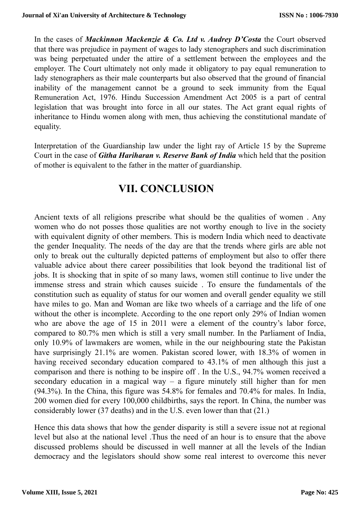In the cases of *Mackinnon Mackenzie & Co. Ltd v. Audrey D'Costa* the Court observed that there was prejudice in payment of wages to lady stenographers and such discrimination was being perpetuated under the attire of a settlement between the employees and the employer. The Court ultimately not only made it obligatory to pay equal remuneration to lady stenographers as their male counterparts but also observed that the ground of financial inability of the management cannot be a ground to seek immunity from the Equal Remuneration Act, 1976. Hindu Succession Amendment Act 2005 is a part of central legislation that was brought into force in all our states. The Act grant equal rights of inheritance to Hindu women along with men, thus achieving the constitutional mandate of equality.

Interpretation of the Guardianship law under the light ray of Article 15 by the Supreme Court in the case of *Githa Hariharan v. Reserve Bank of India* which held that the position of mother is equivalent to the father in the matter of guardianship.

### **VII. CONCLUSION**

Ancient texts of all religions prescribe what should be the qualities of women . Any women who do not posses those qualities are not worthy enough to live in the society with equivalent dignity of other members. This is modern India which need to deactivate the gender Inequality. The needs of the day are that the trends where girls are able not only to break out the culturally depicted patterns of employment but also to offer there valuable advice about there career possibilities that look beyond the traditional list of jobs. It is shocking that in spite of so many laws, women still continue to live under the immense stress and strain which causes suicide . To ensure the fundamentals of the constitution such as equality of status for our women and overall gender equality we still have miles to go. Man and Woman are like two wheels of a carriage and the life of one without the other is incomplete. According to the one report only 29% of Indian women who are above the age of 15 in 2011 were a element of the country's labor force, compared to 80.7% men which is still a very small number. In the Parliament of India, only 10.9% of lawmakers are women, while in the our neighbouring state the Pakistan have surprisingly 21.1% are women. Pakistan scored lower, with 18.3% of women in having received secondary education compared to 43.1% of men although this just a comparison and there is nothing to be inspire off . In the U.S., 94.7% women received a secondary education in a magical way – a figure minutely still higher than for men (94.3%). In the China, this figure was 54.8% for females and 70.4% for males. In India, 200 women died for every 100,000 childbirths, says the report. In China, the number was considerably lower (37 deaths) and in the U.S. even lower than that (21.)

Hence this data shows that how the gender disparity is still a severe issue not at regional level but also at the national level .Thus the need of an hour is to ensure that the above discussed problems should be discussed in well manner at all the levels of the Indian democracy and the legislators should show some real interest to overcome this never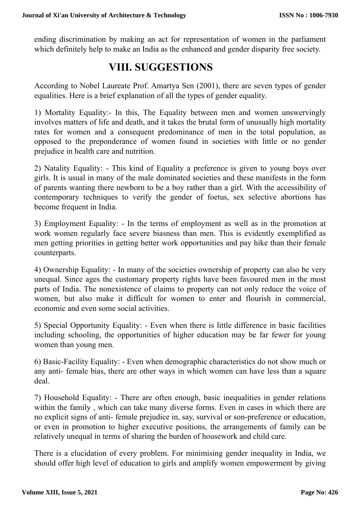ending discrimination by making an act for representation of women in the parliament which definitely help to make an India as the enhanced and gender disparity free society.

### **VIII. SUGGESTIONS**

According to Nobel Laureate Prof. Amartya Sen (2001), there are seven types of gender equalities. Here is a brief explanation of all the types of gender equality.

1) Mortality Equality:- In this, The Equality between men and women unswervingly involves matters of life and death, and it takes the brutal form of unusually high mortality rates for women and a consequent predominance of men in the total population, as opposed to the preponderance of women found in societies with little or no gender prejudice in health care and nutrition.

2) Natality Equality: - This kind of Equality a preference is given to young boys over girls. It is usual in many of the male dominated societies and these manifests in the form of parents wanting there newborn to be a boy rather than a girl. With the accessibility of contemporary techniques to verify the gender of foetus, sex selective abortions has become frequent in India.

3) Employment Equality: - In the terms of employment as well as in the promotion at work women regularly face severe biasness than men. This is evidently exemplified as men getting priorities in getting better work opportunities and pay hike than their female counterparts.

4) Ownership Equality: - In many of the societies ownership of property can also be very unequal. Since ages the customary property rights have been favoured men in the most parts of India. The nonexistence of claims to property can not only reduce the voice of women, but also make it difficult for women to enter and flourish in commercial, economic and even some social activities.

5) Special Opportunity Equality: - Even when there is little difference in basic facilities including schooling, the opportunities of higher education may be far fewer for young women than young men.

6) Basic-Facility Equality: - Even when demographic characteristics do not show much or any anti- female bias, there are other ways in which women can have less than a square deal.

7) Household Equality: - There are often enough, basic inequalities in gender relations within the family , which can take many diverse forms. Even in cases in which there are no explicit signs of anti- female prejudice in, say, survival or son-preference or education, or even in promotion to higher executive positions, the arrangements of family can be relatively unequal in terms of sharing the burden of housework and child care.

There is a elucidation of every problem. For minimising gender inequality in India, we should offer high level of education to girls and amplify women empowerment by giving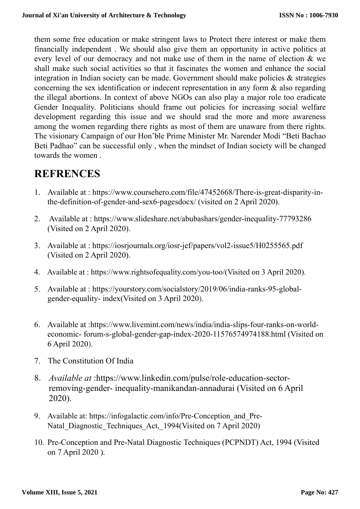them some free education or make stringent laws to Protect there interest or make them financially independent . We should also give them an opportunity in active politics at every level of our democracy and not make use of them in the name of election & we shall make such social activities so that it fascinates the women and enhance the social integration in Indian society can be made. Government should make policies & strategies concerning the sex identification or indecent representation in any form & also regarding the illegal abortions. In context of above NGOs can also play a major role too eradicate Gender Inequality. Politicians should frame out policies for increasing social welfare development regarding this issue and we should srad the more and more awareness among the women regarding there rights as most of them are unaware from there rights. The visionary Campaign of our Hon'ble Prime Minister Mr. Narender Modi "Beti Bachao Beti Padhao" can be successful only , when the mindset of Indian society will be changed towards the women .

### **REFRENCES**

- 1. Available at : [https://www.coursehero.com/file/47452668/There-is-great-disparity-in](https://www.coursehero.com/file/47452668/There-is-great-disparity-in-the-definition-of-gender-and-sex6-pagesdocx/)[the-definition-of-gender-and-sex6-pagesdocx/ \(visited on 2 April 2020\).](https://www.coursehero.com/file/47452668/There-is-great-disparity-in-the-definition-of-gender-and-sex6-pagesdocx/)
- 2. Available at : https://www.slideshare.net/abubashars/gender-inequality-77793286 (Visited on 2 April 2020).
- 3. Available at : https://iosrjournals.org/iosr-jef/papers/vol2-issue5/H0255565.pdf (Visited on 2 April 2020).
- 4. Available at : https://www.rightsofequality.com/you-too/(Visited on 3 April 2020).
- 5. Available at : https://yourstory.com/socialstory/2019/06/india-ranks-95-globalgender-equality- index(Visited on 3 April 2020).
- 6. Available at :https://www.livemint.com/news/india/india-slips-four-ranks-on-worldeconomic- forum-s-global-gender-gap-index-2020-11576574974188.html (Visited on 6 April 2020).
- 7. The Constitution Of India
- 8. *Available at* :https://www.linkedin.com/pulse/role-education-sectorremoving-gender- inequality-manikandan-annadurai (Visited on 6 April 2020).
- 9. Available at: [https://infogalactic.com/info/Pre-Conception\\_and\\_Pre-](https://infogalactic.com/info/Pre-Conception_and_Pre-Natal_Diagnostic_Techniques_Act,_1994)Natal Diagnostic Techniques Act, 1994(Visited on 7 April 2020)
- 10. Pre-Conception and Pre-Natal Diagnostic Techniques (PCPNDT) Act, 1994 (Visited on 7 April 2020 ).